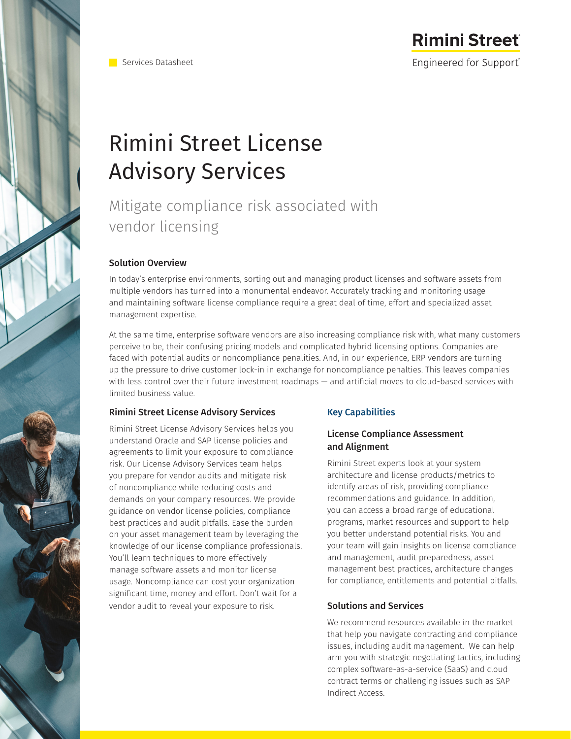

Services Datasheet

# **Rimini Street** Engineered for Support®

# Rimini Street License Advisory Services

Mitigate compliance risk associated with vendor licensing

## Solution Overview

In today's enterprise environments, sorting out and managing product licenses and software assets from multiple vendors has turned into a monumental endeavor. Accurately tracking and monitoring usage and maintaining software license compliance require a great deal of time, effort and specialized asset management expertise.

At the same time, enterprise software vendors are also increasing compliance risk with, what many customers perceive to be, their confusing pricing models and complicated hybrid licensing options. Companies are faced with potential audits or noncompliance penalities. And, in our experience, ERP vendors are turning up the pressure to drive customer lock-in in exchange for noncompliance penalties. This leaves companies with less control over their future investment roadmaps — and artificial moves to cloud-based services with limited business value.

### Rimini Street License Advisory Services

Rimini Street License Advisory Services helps you understand Oracle and SAP license policies and agreements to limit your exposure to compliance risk. Our License Advisory Services team helps you prepare for vendor audits and mitigate risk of noncompliance while reducing costs and demands on your company resources. We provide guidance on vendor license policies, compliance best practices and audit pitfalls. Ease the burden on your asset management team by leveraging the knowledge of our license compliance professionals. You'll learn techniques to more effectively manage software assets and monitor license usage. Noncompliance can cost your organization significant time, money and effort. Don't wait for a vendor audit to reveal your exposure to risk.

# Key Capabilities

### License Compliance Assessment and Alignment

Rimini Street experts look at your system architecture and license products/metrics to identify areas of risk, providing compliance recommendations and guidance. In addition, you can access a broad range of educational programs, market resources and support to help you better understand potential risks. You and your team will gain insights on license compliance and management, audit preparedness, asset management best practices, architecture changes for compliance, entitlements and potential pitfalls.

### Solutions and Services

We recommend resources available in the market that help you navigate contracting and compliance issues, including audit management. We can help arm you with strategic negotiating tactics, including complex software-as-a-service (SaaS) and cloud contract terms or challenging issues such as SAP Indirect Access.